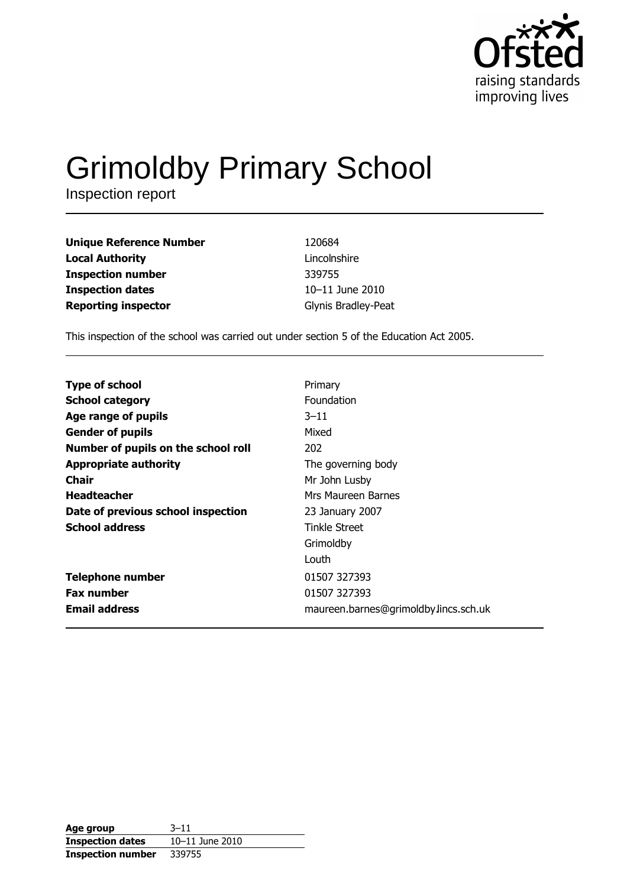

# **Grimoldby Primary School**

Inspection report

| <b>Unique Reference Number</b> | 120684              |
|--------------------------------|---------------------|
| <b>Local Authority</b>         | Lincolnshire        |
| <b>Inspection number</b>       | 339755              |
| <b>Inspection dates</b>        | 10-11 June 2010     |
| <b>Reporting inspector</b>     | Glynis Bradley-Peat |

This inspection of the school was carried out under section 5 of the Education Act 2005.

| <b>Type of school</b>               | Primary                               |
|-------------------------------------|---------------------------------------|
| <b>School category</b>              | Foundation                            |
| Age range of pupils                 | $3 - 11$                              |
| <b>Gender of pupils</b>             | Mixed                                 |
| Number of pupils on the school roll | 202                                   |
| <b>Appropriate authority</b>        | The governing body                    |
| <b>Chair</b>                        | Mr John Lusby                         |
| <b>Headteacher</b>                  | Mrs Maureen Barnes                    |
| Date of previous school inspection  | 23 January 2007                       |
| <b>School address</b>               | Tinkle Street                         |
|                                     | Grimoldby                             |
|                                     | Louth                                 |
| <b>Telephone number</b>             | 01507 327393                          |
| <b>Fax number</b>                   | 01507 327393                          |
| <b>Email address</b>                | maureen.barnes@grimoldby.lincs.sch.uk |

| Age group                | $3 - 11$        |
|--------------------------|-----------------|
| <b>Inspection dates</b>  | 10-11 June 2010 |
| <b>Inspection number</b> | 339755          |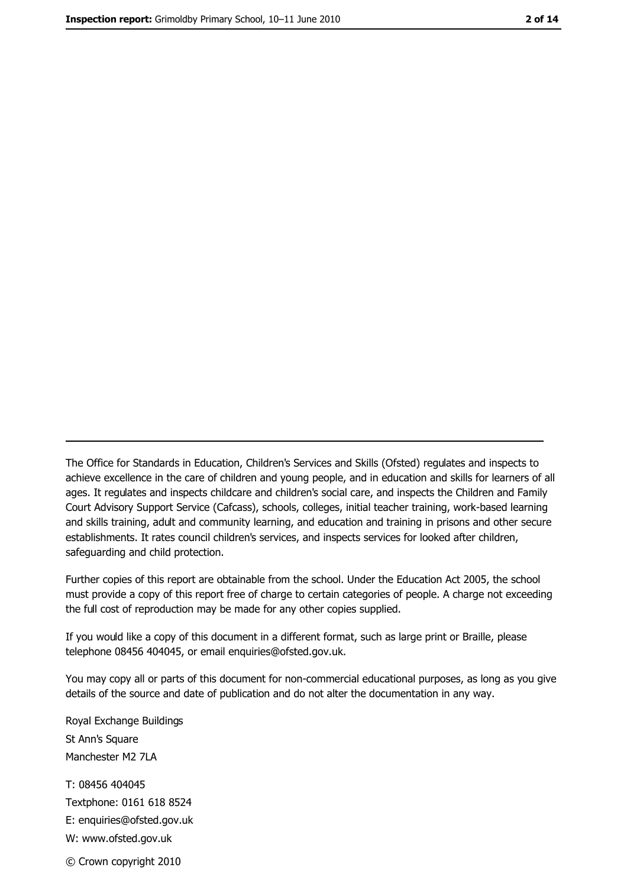The Office for Standards in Education, Children's Services and Skills (Ofsted) regulates and inspects to achieve excellence in the care of children and young people, and in education and skills for learners of all ages. It regulates and inspects childcare and children's social care, and inspects the Children and Family Court Advisory Support Service (Cafcass), schools, colleges, initial teacher training, work-based learning and skills training, adult and community learning, and education and training in prisons and other secure establishments. It rates council children's services, and inspects services for looked after children, safequarding and child protection.

Further copies of this report are obtainable from the school. Under the Education Act 2005, the school must provide a copy of this report free of charge to certain categories of people. A charge not exceeding the full cost of reproduction may be made for any other copies supplied.

If you would like a copy of this document in a different format, such as large print or Braille, please telephone 08456 404045, or email enquiries@ofsted.gov.uk.

You may copy all or parts of this document for non-commercial educational purposes, as long as you give details of the source and date of publication and do not alter the documentation in any way.

Royal Exchange Buildings St Ann's Square Manchester M2 7LA T: 08456 404045 Textphone: 0161 618 8524 E: enquiries@ofsted.gov.uk W: www.ofsted.gov.uk © Crown copyright 2010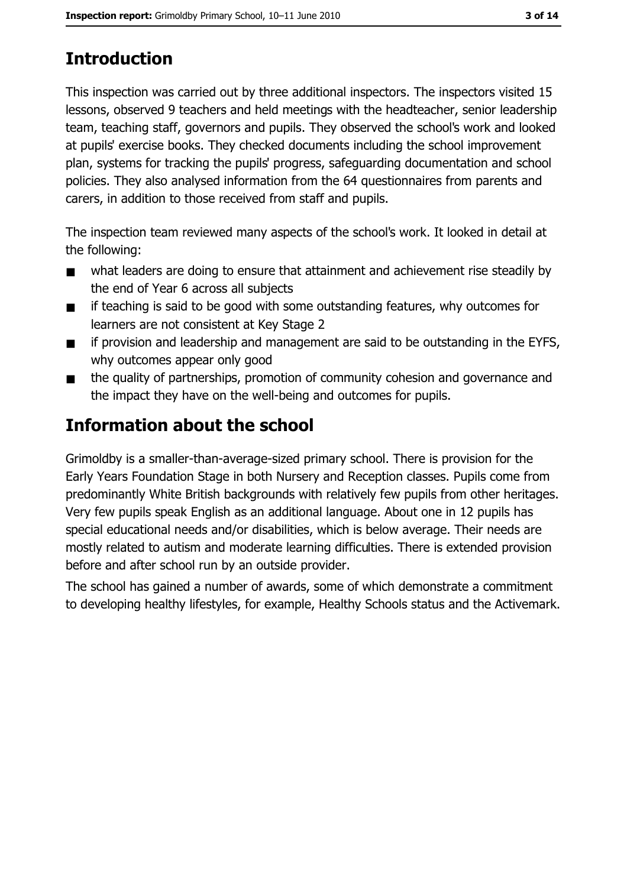# **Introduction**

This inspection was carried out by three additional inspectors. The inspectors visited 15 lessons, observed 9 teachers and held meetings with the headteacher, senior leadership team, teaching staff, governors and pupils. They observed the school's work and looked at pupils' exercise books. They checked documents including the school improvement plan, systems for tracking the pupils' progress, safeguarding documentation and school policies. They also analysed information from the 64 questionnaires from parents and carers, in addition to those received from staff and pupils.

The inspection team reviewed many aspects of the school's work. It looked in detail at the following:

- what leaders are doing to ensure that attainment and achievement rise steadily by  $\blacksquare$ the end of Year 6 across all subjects
- if teaching is said to be good with some outstanding features, why outcomes for  $\blacksquare$ learners are not consistent at Key Stage 2
- if provision and leadership and management are said to be outstanding in the EYFS,  $\blacksquare$ why outcomes appear only good
- the quality of partnerships, promotion of community cohesion and governance and  $\blacksquare$ the impact they have on the well-being and outcomes for pupils.

# **Information about the school**

Grimoldby is a smaller-than-average-sized primary school. There is provision for the Early Years Foundation Stage in both Nursery and Reception classes. Pupils come from predominantly White British backgrounds with relatively few pupils from other heritages. Very few pupils speak English as an additional language. About one in 12 pupils has special educational needs and/or disabilities, which is below average. Their needs are mostly related to autism and moderate learning difficulties. There is extended provision before and after school run by an outside provider.

The school has gained a number of awards, some of which demonstrate a commitment to developing healthy lifestyles, for example, Healthy Schools status and the Activemark.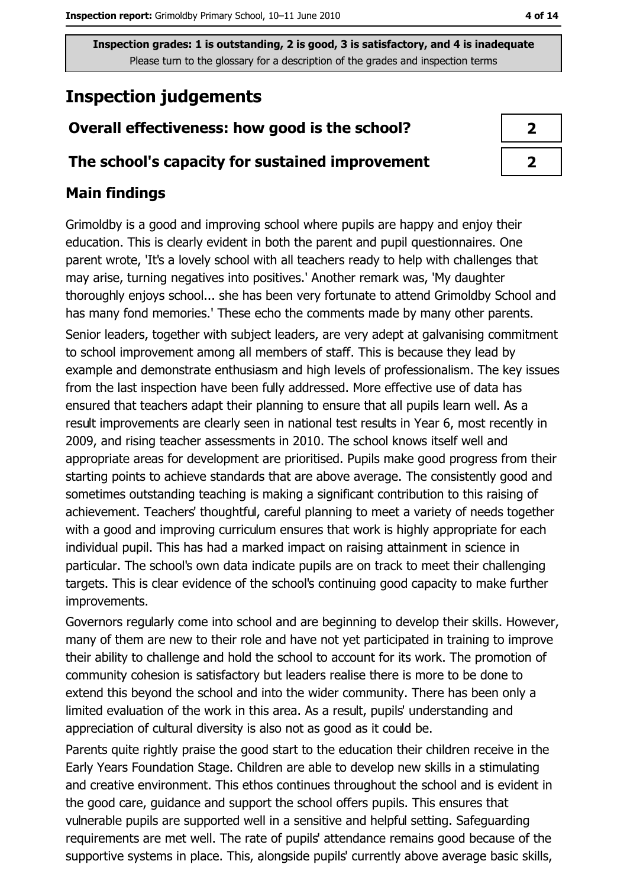# **Inspection judgements**

## Overall effectiveness: how good is the school?

#### The school's capacity for sustained improvement

## **Main findings**

Grimoldby is a good and improving school where pupils are happy and enjoy their education. This is clearly evident in both the parent and pupil questionnaires. One parent wrote, 'It's a lovely school with all teachers ready to help with challenges that may arise, turning negatives into positives.' Another remark was, 'My daughter thoroughly enjoys school... she has been very fortunate to attend Grimoldby School and has many fond memories.' These echo the comments made by many other parents. Senior leaders, together with subject leaders, are very adept at galvanising commitment to school improvement among all members of staff. This is because they lead by example and demonstrate enthusiasm and high levels of professionalism. The key issues from the last inspection have been fully addressed. More effective use of data has ensured that teachers adapt their planning to ensure that all pupils learn well. As a result improvements are clearly seen in national test results in Year 6, most recently in 2009, and rising teacher assessments in 2010. The school knows itself well and appropriate areas for development are prioritised. Pupils make good progress from their starting points to achieve standards that are above average. The consistently good and sometimes outstanding teaching is making a significant contribution to this raising of achievement. Teachers' thoughtful, careful planning to meet a variety of needs together with a good and improving curriculum ensures that work is highly appropriate for each individual pupil. This has had a marked impact on raising attainment in science in particular. The school's own data indicate pupils are on track to meet their challenging targets. This is clear evidence of the school's continuing good capacity to make further improvements.

Governors regularly come into school and are beginning to develop their skills. However, many of them are new to their role and have not yet participated in training to improve their ability to challenge and hold the school to account for its work. The promotion of community cohesion is satisfactory but leaders realise there is more to be done to extend this beyond the school and into the wider community. There has been only a limited evaluation of the work in this area. As a result, pupils' understanding and appreciation of cultural diversity is also not as good as it could be.

Parents quite rightly praise the good start to the education their children receive in the Early Years Foundation Stage, Children are able to develop new skills in a stimulating and creative environment. This ethos continues throughout the school and is evident in the good care, guidance and support the school offers pupils. This ensures that vulnerable pupils are supported well in a sensitive and helpful setting. Safeguarding requirements are met well. The rate of pupils' attendance remains good because of the supportive systems in place. This, alongside pupils' currently above average basic skills,

| 7 |  |
|---|--|
| 7 |  |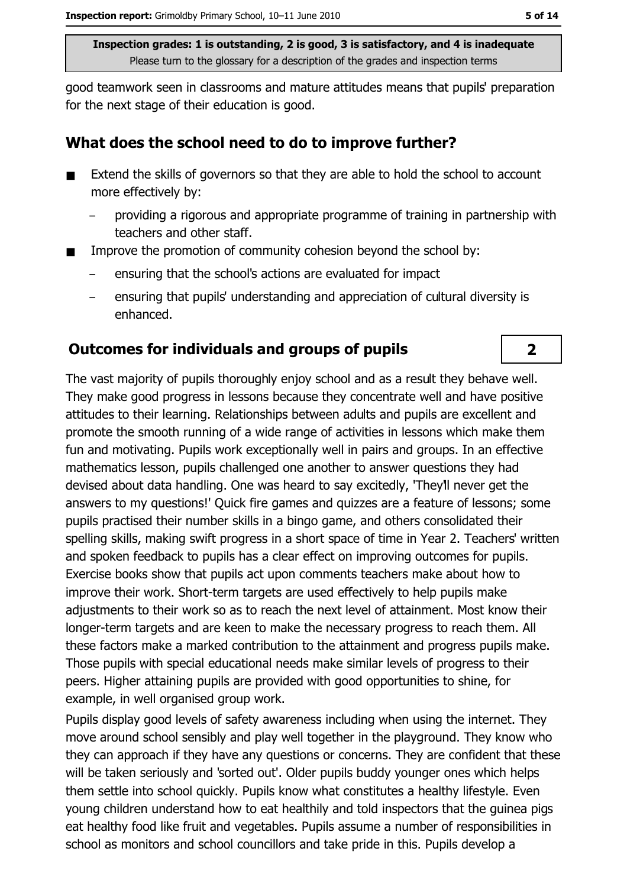good teamwork seen in classrooms and mature attitudes means that pupils' preparation for the next stage of their education is good.

#### What does the school need to do to improve further?

- Extend the skills of governors so that they are able to hold the school to account  $\blacksquare$ more effectively by:
	- providing a rigorous and appropriate programme of training in partnership with  $\overline{a}$ teachers and other staff.
- Improve the promotion of community cohesion beyond the school by:
	- ensuring that the school's actions are evaluated for impact
	- ensuring that pupils' understanding and appreciation of cultural diversity is enhanced.

#### **Outcomes for individuals and groups of pupils**

The vast majority of pupils thoroughly enjoy school and as a result they behave well. They make good progress in lessons because they concentrate well and have positive attitudes to their learning. Relationships between adults and pupils are excellent and promote the smooth running of a wide range of activities in lessons which make them fun and motivating. Pupils work exceptionally well in pairs and groups. In an effective mathematics lesson, pupils challenged one another to answer questions they had devised about data handling. One was heard to say excitedly, 'They'll never get the answers to my questions!' Quick fire games and quizzes are a feature of lessons; some pupils practised their number skills in a bingo game, and others consolidated their spelling skills, making swift progress in a short space of time in Year 2. Teachers' written and spoken feedback to pupils has a clear effect on improving outcomes for pupils. Exercise books show that pupils act upon comments teachers make about how to improve their work. Short-term targets are used effectively to help pupils make adjustments to their work so as to reach the next level of attainment. Most know their longer-term targets and are keen to make the necessary progress to reach them. All these factors make a marked contribution to the attainment and progress pupils make. Those pupils with special educational needs make similar levels of progress to their peers. Higher attaining pupils are provided with good opportunities to shine, for example, in well organised group work.

Pupils display good levels of safety awareness including when using the internet. They move around school sensibly and play well together in the playground. They know who they can approach if they have any questions or concerns. They are confident that these will be taken seriously and 'sorted out'. Older pupils buddy younger ones which helps them settle into school quickly. Pupils know what constitutes a healthy lifestyle. Even young children understand how to eat healthily and told inspectors that the guinea pigs eat healthy food like fruit and vegetables. Pupils assume a number of responsibilities in school as monitors and school councillors and take pride in this. Pupils develop a

 $\overline{2}$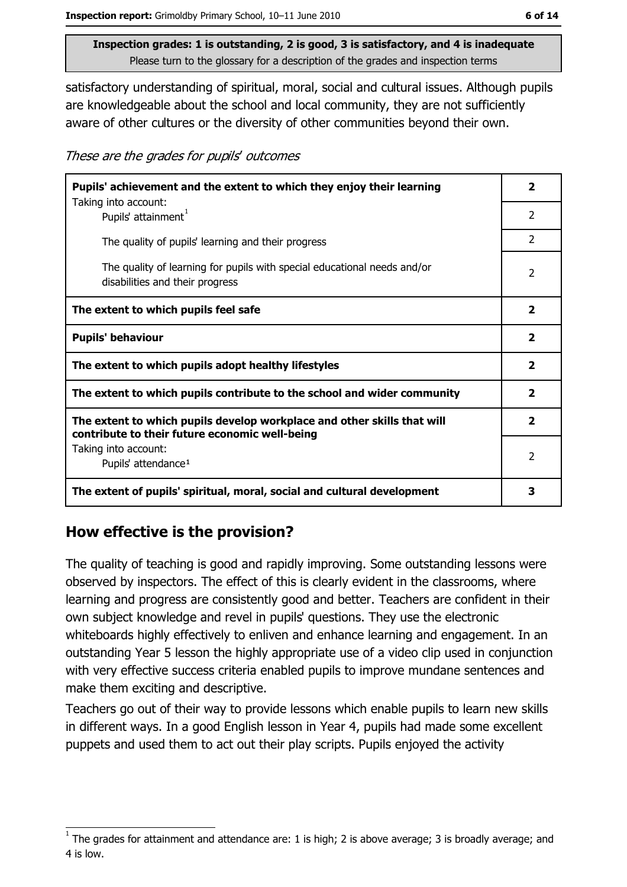satisfactory understanding of spiritual, moral, social and cultural issues. Although pupils are knowledgeable about the school and local community, they are not sufficiently aware of other cultures or the diversity of other communities beyond their own.

These are the grades for pupils' outcomes

| Pupils' achievement and the extent to which they enjoy their learning                                                     |                         |  |  |
|---------------------------------------------------------------------------------------------------------------------------|-------------------------|--|--|
| Taking into account:<br>Pupils' attainment <sup>1</sup>                                                                   | $\overline{2}$          |  |  |
| The quality of pupils' learning and their progress                                                                        | $\mathcal{P}$           |  |  |
| The quality of learning for pupils with special educational needs and/or<br>disabilities and their progress               |                         |  |  |
| The extent to which pupils feel safe                                                                                      | $\overline{\mathbf{2}}$ |  |  |
| <b>Pupils' behaviour</b>                                                                                                  | $\overline{\mathbf{2}}$ |  |  |
| The extent to which pupils adopt healthy lifestyles                                                                       | $\overline{\mathbf{2}}$ |  |  |
| The extent to which pupils contribute to the school and wider community                                                   |                         |  |  |
| The extent to which pupils develop workplace and other skills that will<br>contribute to their future economic well-being |                         |  |  |
| Taking into account:<br>Pupils' attendance <sup>1</sup>                                                                   | $\mathcal{P}$           |  |  |
| The extent of pupils' spiritual, moral, social and cultural development                                                   | 3                       |  |  |

#### How effective is the provision?

The quality of teaching is good and rapidly improving. Some outstanding lessons were observed by inspectors. The effect of this is clearly evident in the classrooms, where learning and progress are consistently good and better. Teachers are confident in their own subject knowledge and revel in pupils' questions. They use the electronic whiteboards highly effectively to enliven and enhance learning and engagement. In an outstanding Year 5 lesson the highly appropriate use of a video clip used in conjunction with very effective success criteria enabled pupils to improve mundane sentences and make them exciting and descriptive.

Teachers go out of their way to provide lessons which enable pupils to learn new skills in different ways. In a good English lesson in Year 4, pupils had made some excellent puppets and used them to act out their play scripts. Pupils enjoyed the activity

The grades for attainment and attendance are: 1 is high; 2 is above average; 3 is broadly average; and 4 is low.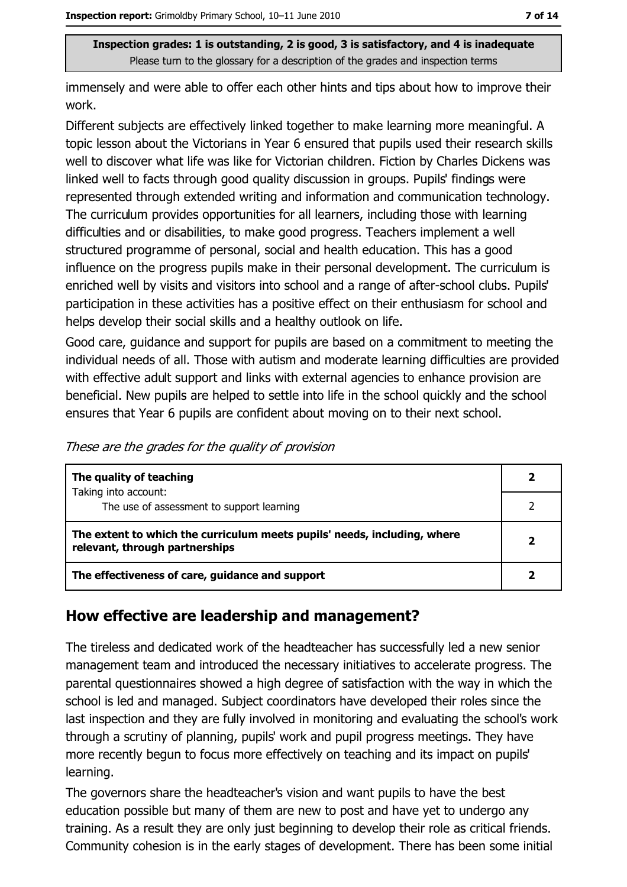immensely and were able to offer each other hints and tips about how to improve their work.

Different subjects are effectively linked together to make learning more meaningful. A topic lesson about the Victorians in Year 6 ensured that pupils used their research skills well to discover what life was like for Victorian children. Fiction by Charles Dickens was linked well to facts through good quality discussion in groups. Pupils' findings were represented through extended writing and information and communication technology. The curriculum provides opportunities for all learners, including those with learning difficulties and or disabilities, to make good progress. Teachers implement a well structured programme of personal, social and health education. This has a good influence on the progress pupils make in their personal development. The curriculum is enriched well by visits and visitors into school and a range of after-school clubs. Pupils' participation in these activities has a positive effect on their enthusiasm for school and helps develop their social skills and a healthy outlook on life.

Good care, quidance and support for pupils are based on a commitment to meeting the individual needs of all. Those with autism and moderate learning difficulties are provided with effective adult support and links with external agencies to enhance provision are beneficial. New pupils are helped to settle into life in the school quickly and the school ensures that Year 6 pupils are confident about moving on to their next school.

|  | These are the grades for the quality of provision |
|--|---------------------------------------------------|
|  |                                                   |

| The quality of teaching                                                                                    |  |
|------------------------------------------------------------------------------------------------------------|--|
| Taking into account:                                                                                       |  |
| The use of assessment to support learning                                                                  |  |
| The extent to which the curriculum meets pupils' needs, including, where<br>relevant, through partnerships |  |
| The effectiveness of care, guidance and support                                                            |  |

#### How effective are leadership and management?

The tireless and dedicated work of the headteacher has successfully led a new senior management team and introduced the necessary initiatives to accelerate progress. The parental questionnaires showed a high degree of satisfaction with the way in which the school is led and managed. Subject coordinators have developed their roles since the last inspection and they are fully involved in monitoring and evaluating the school's work through a scrutiny of planning, pupils' work and pupil progress meetings. They have more recently begun to focus more effectively on teaching and its impact on pupils' learning.

The governors share the headteacher's vision and want pupils to have the best education possible but many of them are new to post and have yet to undergo any training. As a result they are only just beginning to develop their role as critical friends. Community cohesion is in the early stages of development. There has been some initial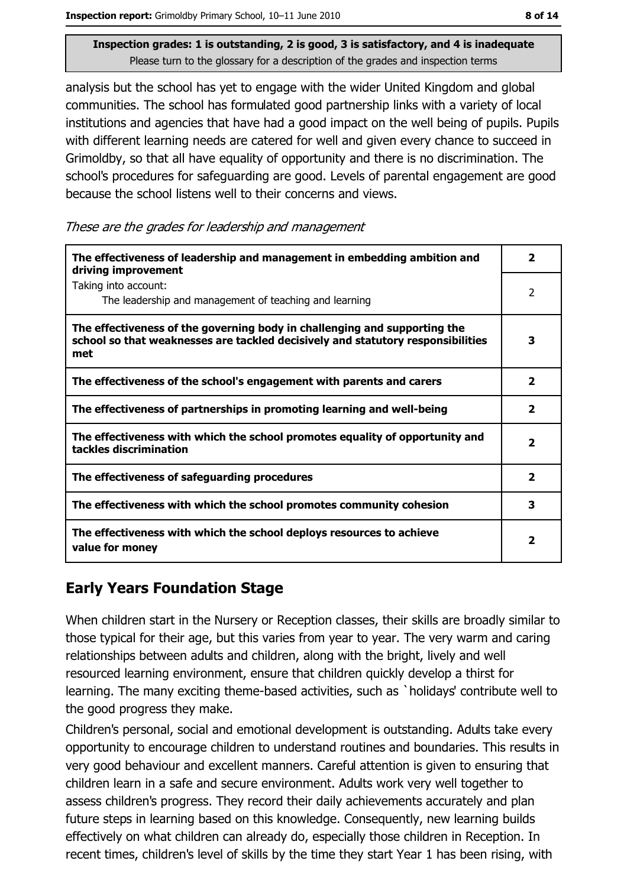Inspection report: Grimoldby Primary School, 10-11 June 2010

Inspection grades: 1 is outstanding, 2 is good, 3 is satisfactory, and 4 is inadequate Please turn to the glossary for a description of the grades and inspection terms

analysis but the school has yet to engage with the wider United Kingdom and global communities. The school has formulated good partnership links with a variety of local institutions and agencies that have had a good impact on the well being of pupils. Pupils with different learning needs are catered for well and given every chance to succeed in Grimoldby, so that all have equality of opportunity and there is no discrimination. The school's procedures for safeguarding are good. Levels of parental engagement are good because the school listens well to their concerns and views.

These are the grades for leadership and management

| The effectiveness of leadership and management in embedding ambition and<br>driving improvement                                                                     | 2                       |
|---------------------------------------------------------------------------------------------------------------------------------------------------------------------|-------------------------|
| Taking into account:<br>The leadership and management of teaching and learning                                                                                      | 2                       |
| The effectiveness of the governing body in challenging and supporting the<br>school so that weaknesses are tackled decisively and statutory responsibilities<br>met | 3                       |
| The effectiveness of the school's engagement with parents and carers                                                                                                | $\overline{\mathbf{2}}$ |
| The effectiveness of partnerships in promoting learning and well-being                                                                                              | 2                       |
| The effectiveness with which the school promotes equality of opportunity and<br>tackles discrimination                                                              | $\mathbf{2}$            |
| The effectiveness of safeguarding procedures                                                                                                                        | $\overline{\mathbf{2}}$ |
| The effectiveness with which the school promotes community cohesion                                                                                                 | 3                       |
| The effectiveness with which the school deploys resources to achieve<br>value for money                                                                             | 2                       |

## **Early Years Foundation Stage**

When children start in the Nursery or Reception classes, their skills are broadly similar to those typical for their age, but this varies from year to year. The very warm and caring relationships between adults and children, along with the bright, lively and well resourced learning environment, ensure that children quickly develop a thirst for learning. The many exciting theme-based activities, such as `holidays' contribute well to the good progress they make.

Children's personal, social and emotional development is outstanding. Adults take every opportunity to encourage children to understand routines and boundaries. This results in very good behaviour and excellent manners. Careful attention is given to ensuring that children learn in a safe and secure environment. Adults work very well together to assess children's progress. They record their daily achievements accurately and plan future steps in learning based on this knowledge. Consequently, new learning builds effectively on what children can already do, especially those children in Reception. In recent times, children's level of skills by the time they start Year 1 has been rising, with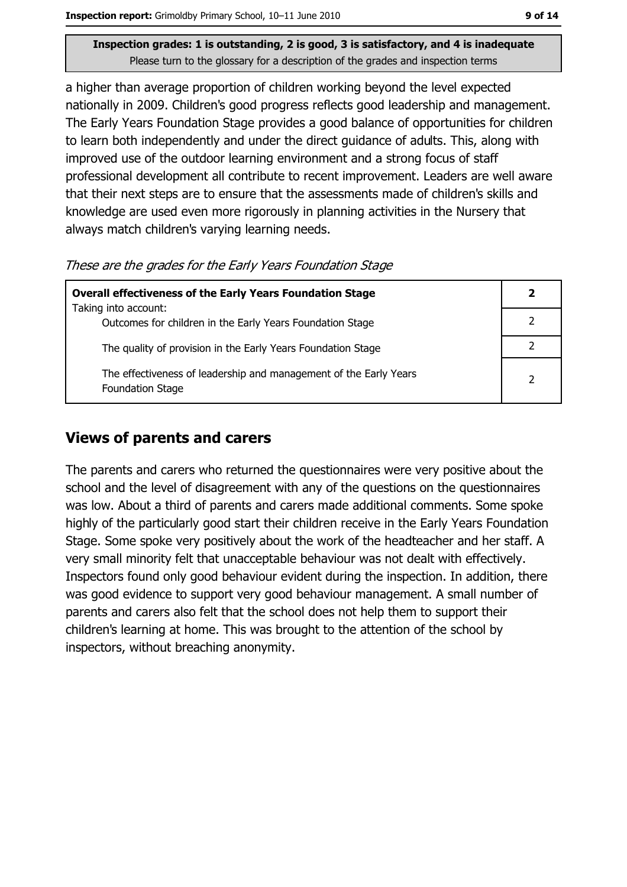a higher than average proportion of children working beyond the level expected nationally in 2009. Children's good progress reflects good leadership and management. The Early Years Foundation Stage provides a good balance of opportunities for children to learn both independently and under the direct quidance of adults. This, along with improved use of the outdoor learning environment and a strong focus of staff professional development all contribute to recent improvement. Leaders are well aware that their next steps are to ensure that the assessments made of children's skills and knowledge are used even more rigorously in planning activities in the Nursery that always match children's varying learning needs.

These are the grades for the Early Years Foundation Stage

| <b>Overall effectiveness of the Early Years Foundation Stage</b>                             |  |  |
|----------------------------------------------------------------------------------------------|--|--|
| Taking into account:                                                                         |  |  |
| Outcomes for children in the Early Years Foundation Stage                                    |  |  |
| The quality of provision in the Early Years Foundation Stage                                 |  |  |
| The effectiveness of leadership and management of the Early Years<br><b>Foundation Stage</b> |  |  |

#### **Views of parents and carers**

The parents and carers who returned the questionnaires were very positive about the school and the level of disagreement with any of the questions on the questionnaires was low. About a third of parents and carers made additional comments. Some spoke highly of the particularly good start their children receive in the Early Years Foundation Stage. Some spoke very positively about the work of the headteacher and her staff. A very small minority felt that unacceptable behaviour was not dealt with effectively. Inspectors found only good behaviour evident during the inspection. In addition, there was good evidence to support very good behaviour management. A small number of parents and carers also felt that the school does not help them to support their children's learning at home. This was brought to the attention of the school by inspectors, without breaching anonymity.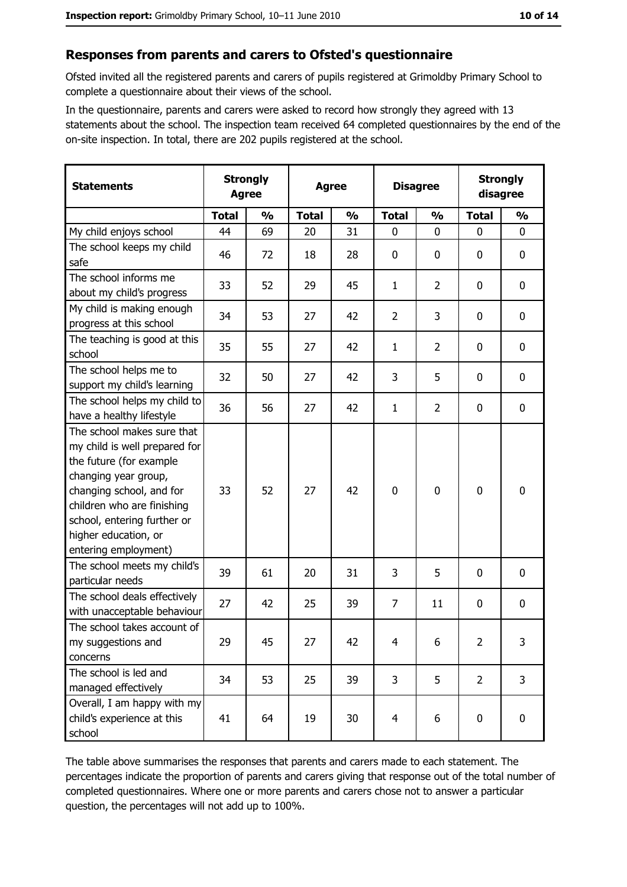#### Responses from parents and carers to Ofsted's questionnaire

Ofsted invited all the registered parents and carers of pupils registered at Grimoldby Primary School to complete a questionnaire about their views of the school.

In the questionnaire, parents and carers were asked to record how strongly they agreed with 13 statements about the school. The inspection team received 64 completed questionnaires by the end of the on-site inspection. In total, there are 202 pupils registered at the school.

| <b>Statements</b>                                                                                                                                                                                                                                       |              | <b>Strongly</b><br><b>Strongly</b><br><b>Disagree</b><br><b>Agree</b><br><b>Agree</b><br>disagree |              |               |                |                |                |                  |
|---------------------------------------------------------------------------------------------------------------------------------------------------------------------------------------------------------------------------------------------------------|--------------|---------------------------------------------------------------------------------------------------|--------------|---------------|----------------|----------------|----------------|------------------|
|                                                                                                                                                                                                                                                         | <b>Total</b> | $\frac{0}{0}$                                                                                     | <b>Total</b> | $\frac{0}{0}$ | <b>Total</b>   | $\frac{0}{0}$  | <b>Total</b>   | $\frac{0}{0}$    |
| My child enjoys school                                                                                                                                                                                                                                  | 44           | 69                                                                                                | 20           | 31            | $\mathbf 0$    | 0              | $\mathbf{0}$   | $\mathbf 0$      |
| The school keeps my child<br>safe                                                                                                                                                                                                                       | 46           | 72                                                                                                | 18           | 28            | $\mathbf 0$    | 0              | 0              | 0                |
| The school informs me<br>about my child's progress                                                                                                                                                                                                      | 33           | 52                                                                                                | 29           | 45            | $\mathbf{1}$   | $\overline{2}$ | 0              | 0                |
| My child is making enough<br>progress at this school                                                                                                                                                                                                    | 34           | 53                                                                                                | 27           | 42            | $\overline{2}$ | 3              | 0              | $\mathbf 0$      |
| The teaching is good at this<br>school                                                                                                                                                                                                                  | 35           | 55                                                                                                | 27           | 42            | 1              | $\overline{2}$ | 0              | $\mathbf 0$      |
| The school helps me to<br>support my child's learning                                                                                                                                                                                                   | 32           | 50                                                                                                | 27           | 42            | 3              | 5              | 0              | $\mathbf 0$      |
| The school helps my child to<br>have a healthy lifestyle                                                                                                                                                                                                | 36           | 56                                                                                                | 27           | 42            | $\mathbf{1}$   | $\overline{2}$ | $\mathbf 0$    | $\mathbf 0$      |
| The school makes sure that<br>my child is well prepared for<br>the future (for example<br>changing year group,<br>changing school, and for<br>children who are finishing<br>school, entering further or<br>higher education, or<br>entering employment) | 33           | 52                                                                                                | 27           | 42            | $\mathbf 0$    | 0              | 0              | $\mathbf 0$      |
| The school meets my child's<br>particular needs                                                                                                                                                                                                         | 39           | 61                                                                                                | 20           | 31            | 3              | 5              | 0              | $\boldsymbol{0}$ |
| The school deals effectively<br>with unacceptable behaviour                                                                                                                                                                                             | 27           | 42                                                                                                | 25           | 39            | $\overline{7}$ | 11             | 0              | 0                |
| The school takes account of<br>my suggestions and<br>concerns                                                                                                                                                                                           | 29           | 45                                                                                                | 27           | 42            | $\overline{4}$ | 6              | $\overline{2}$ | 3                |
| The school is led and<br>managed effectively                                                                                                                                                                                                            | 34           | 53                                                                                                | 25           | 39            | 3              | 5              | $\overline{2}$ | 3                |
| Overall, I am happy with my<br>child's experience at this<br>school                                                                                                                                                                                     | 41           | 64                                                                                                | 19           | 30            | $\overline{4}$ | 6              | 0              | $\mathbf 0$      |

The table above summarises the responses that parents and carers made to each statement. The percentages indicate the proportion of parents and carers giving that response out of the total number of completed questionnaires. Where one or more parents and carers chose not to answer a particular question, the percentages will not add up to 100%.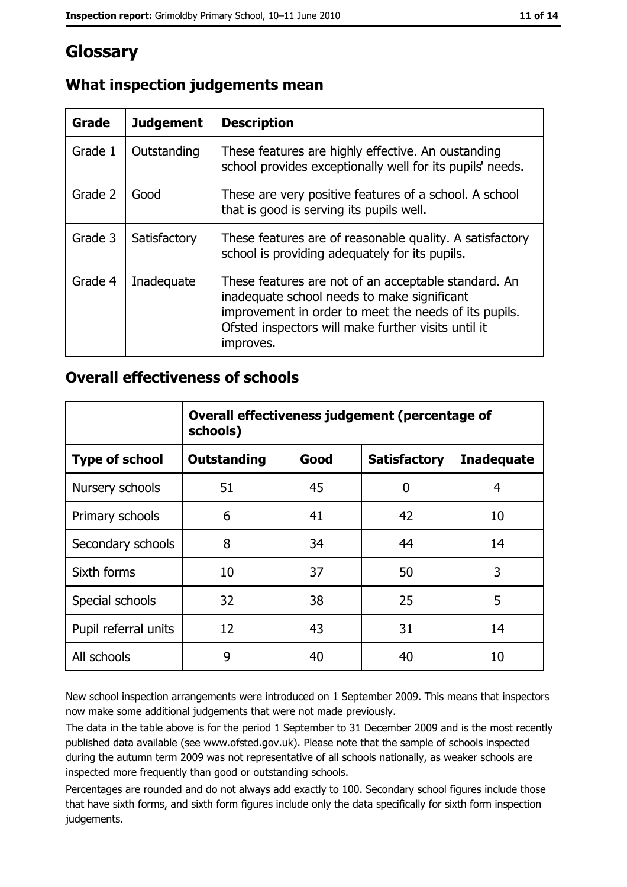# Glossary

| Grade   | <b>Judgement</b> | <b>Description</b>                                                                                                                                                                                                               |
|---------|------------------|----------------------------------------------------------------------------------------------------------------------------------------------------------------------------------------------------------------------------------|
| Grade 1 | Outstanding      | These features are highly effective. An oustanding<br>school provides exceptionally well for its pupils' needs.                                                                                                                  |
| Grade 2 | Good             | These are very positive features of a school. A school<br>that is good is serving its pupils well.                                                                                                                               |
| Grade 3 | Satisfactory     | These features are of reasonable quality. A satisfactory<br>school is providing adequately for its pupils.                                                                                                                       |
| Grade 4 | Inadequate       | These features are not of an acceptable standard. An<br>inadequate school needs to make significant<br>improvement in order to meet the needs of its pupils.<br>Ofsted inspectors will make further visits until it<br>improves. |

## What inspection judgements mean

### **Overall effectiveness of schools**

|                       | Overall effectiveness judgement (percentage of<br>schools) |      |                     |                   |  |
|-----------------------|------------------------------------------------------------|------|---------------------|-------------------|--|
| <b>Type of school</b> | <b>Outstanding</b>                                         | Good | <b>Satisfactory</b> | <b>Inadequate</b> |  |
| Nursery schools       | 51                                                         | 45   | 0                   | 4                 |  |
| Primary schools       | 6                                                          | 41   | 42                  | 10                |  |
| Secondary schools     | 8                                                          | 34   | 44                  | 14                |  |
| Sixth forms           | 10                                                         | 37   | 50                  | 3                 |  |
| Special schools       | 32                                                         | 38   | 25                  | 5                 |  |
| Pupil referral units  | 12                                                         | 43   | 31                  | 14                |  |
| All schools           | 9                                                          | 40   | 40                  | 10                |  |

New school inspection arrangements were introduced on 1 September 2009. This means that inspectors now make some additional judgements that were not made previously.

The data in the table above is for the period 1 September to 31 December 2009 and is the most recently published data available (see www.ofsted.gov.uk). Please note that the sample of schools inspected during the autumn term 2009 was not representative of all schools nationally, as weaker schools are inspected more frequently than good or outstanding schools.

Percentages are rounded and do not always add exactly to 100. Secondary school figures include those that have sixth forms, and sixth form figures include only the data specifically for sixth form inspection judgements.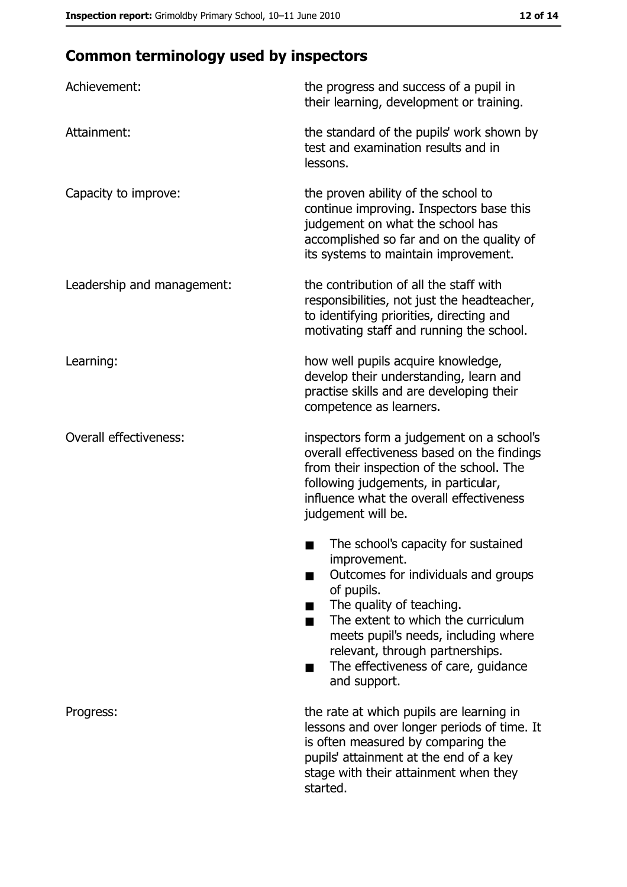# **Common terminology used by inspectors**

| Achievement:                  | the progress and success of a pupil in<br>their learning, development or training.                                                                                                                                                                                                                           |
|-------------------------------|--------------------------------------------------------------------------------------------------------------------------------------------------------------------------------------------------------------------------------------------------------------------------------------------------------------|
| Attainment:                   | the standard of the pupils' work shown by<br>test and examination results and in<br>lessons.                                                                                                                                                                                                                 |
| Capacity to improve:          | the proven ability of the school to<br>continue improving. Inspectors base this<br>judgement on what the school has<br>accomplished so far and on the quality of<br>its systems to maintain improvement.                                                                                                     |
| Leadership and management:    | the contribution of all the staff with<br>responsibilities, not just the headteacher,<br>to identifying priorities, directing and<br>motivating staff and running the school.                                                                                                                                |
| Learning:                     | how well pupils acquire knowledge,<br>develop their understanding, learn and<br>practise skills and are developing their<br>competence as learners.                                                                                                                                                          |
| <b>Overall effectiveness:</b> | inspectors form a judgement on a school's<br>overall effectiveness based on the findings<br>from their inspection of the school. The<br>following judgements, in particular,<br>influence what the overall effectiveness<br>judgement will be.                                                               |
|                               | The school's capacity for sustained<br>improvement.<br>Outcomes for individuals and groups<br>of pupils.<br>The quality of teaching.<br>The extent to which the curriculum<br>meets pupil's needs, including where<br>relevant, through partnerships.<br>The effectiveness of care, guidance<br>and support. |
| Progress:                     | the rate at which pupils are learning in<br>lessons and over longer periods of time. It<br>is often measured by comparing the<br>pupils' attainment at the end of a key<br>stage with their attainment when they<br>started.                                                                                 |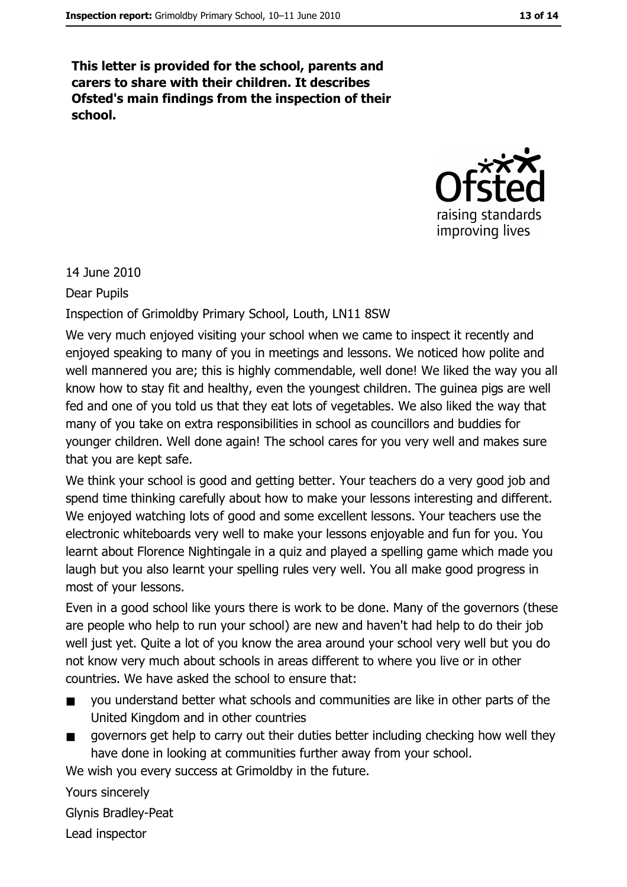This letter is provided for the school, parents and carers to share with their children. It describes Ofsted's main findings from the inspection of their school.



14 June 2010

**Dear Pupils** 

Inspection of Grimoldby Primary School, Louth, LN11 8SW

We very much enjoyed visiting your school when we came to inspect it recently and enjoyed speaking to many of you in meetings and lessons. We noticed how polite and well mannered you are; this is highly commendable, well done! We liked the way you all know how to stay fit and healthy, even the youngest children. The guinea pigs are well fed and one of you told us that they eat lots of vegetables. We also liked the way that many of you take on extra responsibilities in school as councillors and buddies for younger children. Well done again! The school cares for you very well and makes sure that you are kept safe.

We think your school is good and getting better. Your teachers do a very good job and spend time thinking carefully about how to make your lessons interesting and different. We enjoyed watching lots of good and some excellent lessons. Your teachers use the electronic whiteboards very well to make your lessons enjoyable and fun for you. You learnt about Florence Nightingale in a quiz and played a spelling game which made you laugh but you also learnt your spelling rules very well. You all make good progress in most of your lessons.

Even in a good school like yours there is work to be done. Many of the governors (these are people who help to run your school) are new and haven't had help to do their job well just yet. Quite a lot of you know the area around your school very well but you do not know very much about schools in areas different to where you live or in other countries. We have asked the school to ensure that:

- you understand better what schools and communities are like in other parts of the United Kingdom and in other countries
- governors get help to carry out their duties better including checking how well they have done in looking at communities further away from your school.

We wish you every success at Grimoldby in the future.

Yours sincerely

**Glynis Bradley-Peat** 

Lead inspector